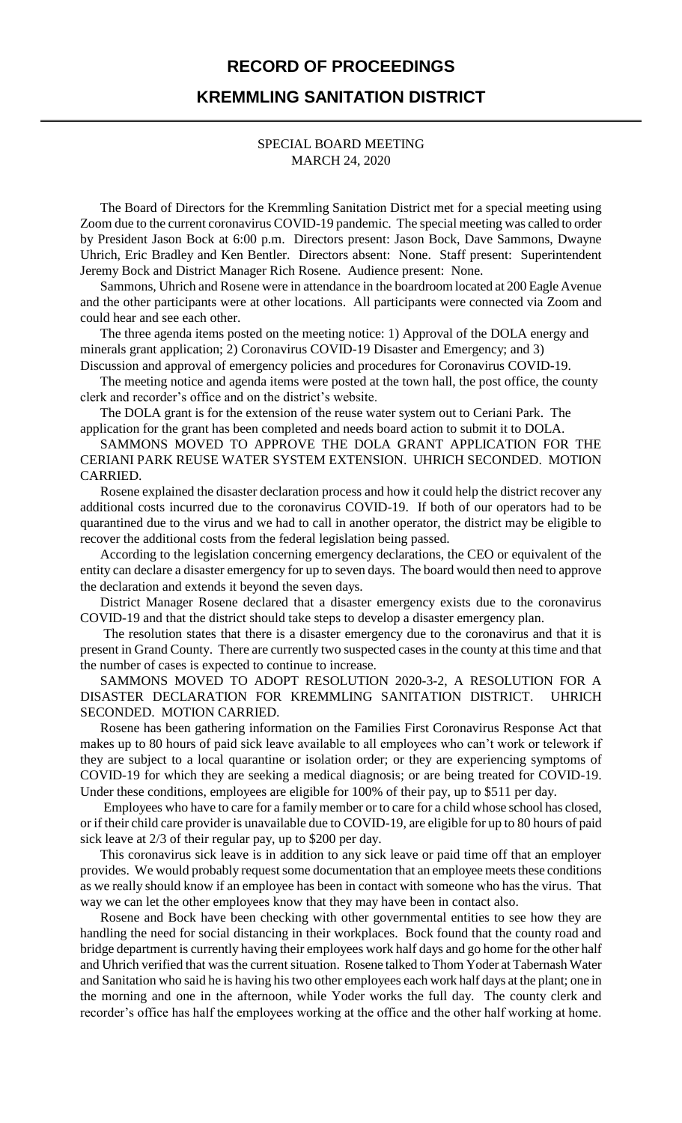## **RECORD OF PROCEEDINGS**

## **KREMMLING SANITATION DISTRICT**

## SPECIAL BOARD MEETING MARCH 24, 2020

The Board of Directors for the Kremmling Sanitation District met for a special meeting using Zoom due to the current coronavirus COVID-19 pandemic. The special meeting was called to order by President Jason Bock at 6:00 p.m. Directors present: Jason Bock, Dave Sammons, Dwayne Uhrich, Eric Bradley and Ken Bentler. Directors absent: None. Staff present: Superintendent Jeremy Bock and District Manager Rich Rosene. Audience present: None.

Sammons, Uhrich and Rosene were in attendance in the boardroom located at 200 Eagle Avenue and the other participants were at other locations. All participants were connected via Zoom and could hear and see each other.

The three agenda items posted on the meeting notice: 1) Approval of the DOLA energy and minerals grant application; 2) Coronavirus COVID-19 Disaster and Emergency; and 3)

Discussion and approval of emergency policies and procedures for Coronavirus COVID-19. The meeting notice and agenda items were posted at the town hall, the post office, the county clerk and recorder's office and on the district's website.

The DOLA grant is for the extension of the reuse water system out to Ceriani Park. The application for the grant has been completed and needs board action to submit it to DOLA.

SAMMONS MOVED TO APPROVE THE DOLA GRANT APPLICATION FOR THE CERIANI PARK REUSE WATER SYSTEM EXTENSION. UHRICH SECONDED. MOTION CARRIED.

Rosene explained the disaster declaration process and how it could help the district recover any additional costs incurred due to the coronavirus COVID-19. If both of our operators had to be quarantined due to the virus and we had to call in another operator, the district may be eligible to recover the additional costs from the federal legislation being passed.

According to the legislation concerning emergency declarations, the CEO or equivalent of the entity can declare a disaster emergency for up to seven days. The board would then need to approve the declaration and extends it beyond the seven days.

District Manager Rosene declared that a disaster emergency exists due to the coronavirus COVID-19 and that the district should take steps to develop a disaster emergency plan.

The resolution states that there is a disaster emergency due to the coronavirus and that it is present in Grand County. There are currently two suspected cases in the county at this time and that the number of cases is expected to continue to increase.

SAMMONS MOVED TO ADOPT RESOLUTION 2020-3-2, A RESOLUTION FOR A DISASTER DECLARATION FOR KREMMLING SANITATION DISTRICT. UHRICH SECONDED. MOTION CARRIED.

Rosene has been gathering information on the Families First Coronavirus Response Act that makes up to 80 hours of paid sick leave available to all employees who can't work or telework if they are subject to a local quarantine or isolation order; or they are experiencing symptoms of COVID-19 for which they are seeking a medical diagnosis; or are being treated for COVID-19. Under these conditions, employees are eligible for 100% of their pay, up to \$511 per day.

Employees who have to care for a family member or to care for a child whose school has closed, or if their child care provider is unavailable due to COVID-19, are eligible for up to 80 hours of paid sick leave at 2/3 of their regular pay, up to \$200 per day.

This coronavirus sick leave is in addition to any sick leave or paid time off that an employer provides. We would probably request some documentation that an employee meets these conditions as we really should know if an employee has been in contact with someone who has the virus. That way we can let the other employees know that they may have been in contact also.

Rosene and Bock have been checking with other governmental entities to see how they are handling the need for social distancing in their workplaces. Bock found that the county road and bridge department is currently having their employees work half days and go home for the other half and Uhrich verified that was the current situation. Rosene talked to Thom Yoder at Tabernash Water and Sanitation who said he is having his two other employees each work half days at the plant; one in the morning and one in the afternoon, while Yoder works the full day. The county clerk and recorder's office has half the employees working at the office and the other half working at home.